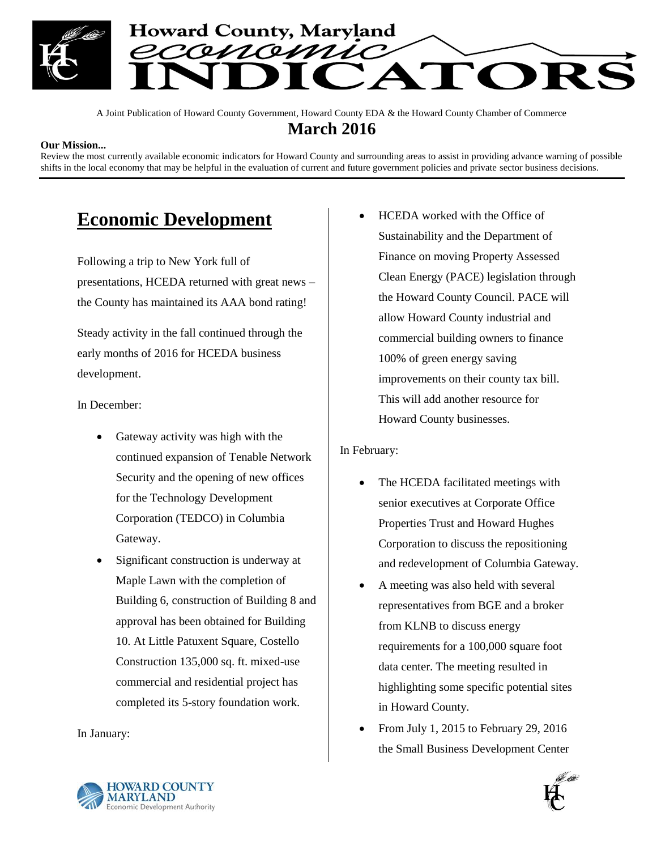

A Joint Publication of Howard County Government, Howard County EDA & the Howard County Chamber of Commerce **March 2016**

#### **Our Mission...**

Review the most currently available economic indicators for Howard County and surrounding areas to assist in providing advance warning of possible shifts in the local economy that may be helpful in the evaluation of current and future government policies and private sector business decisions.

# **Economic Development**

Following a trip to New York full of presentations, HCEDA returned with great news – the County has maintained its AAA bond rating!

Steady activity in the fall continued through the early months of 2016 for HCEDA business development.

In December:

- Gateway activity was high with the continued expansion of Tenable Network Security and the opening of new offices for the Technology Development Corporation (TEDCO) in Columbia Gateway.
- Significant construction is underway at Maple Lawn with the completion of Building 6, construction of Building 8 and approval has been obtained for Building 10. At Little Patuxent Square, Costello Construction 135,000 sq. ft. mixed-use commercial and residential project has completed its 5-story foundation work.

In January:

 HCEDA worked with the Office of Sustainability and the Department of Finance on moving Property Assessed Clean Energy (PACE) legislation through the Howard County Council. PACE will allow Howard County industrial and commercial building owners to finance 100% of green energy saving improvements on their county tax bill. This will add another resource for Howard County businesses.

In February:

- The HCEDA facilitated meetings with senior executives at Corporate Office Properties Trust and Howard Hughes Corporation to discuss the repositioning and redevelopment of Columbia Gateway.
- A meeting was also held with several representatives from BGE and a broker from KLNB to discuss energy requirements for a 100,000 square foot data center. The meeting resulted in highlighting some specific potential sites in Howard County.
- From July 1, 2015 to February 29, 2016 the Small Business Development Center



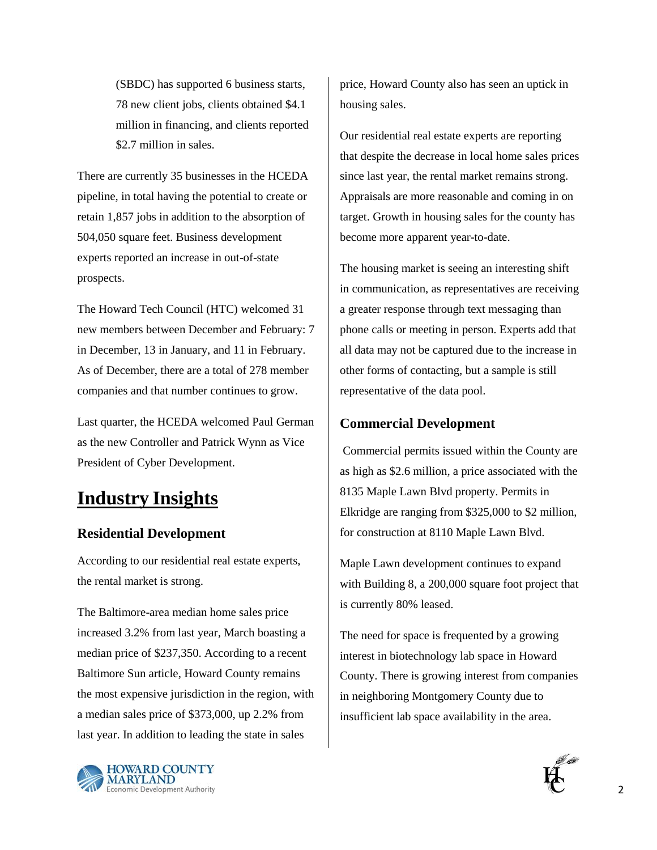(SBDC) has supported 6 business starts, 78 new client jobs, clients obtained \$4.1 million in financing, and clients reported \$2.7 million in sales.

There are currently 35 businesses in the HCEDA pipeline, in total having the potential to create or retain 1,857 jobs in addition to the absorption of 504,050 square feet. Business development experts reported an increase in out-of-state prospects.

The Howard Tech Council (HTC) welcomed 31 new members between December and February: 7 in December, 13 in January, and 11 in February. As of December, there are a total of 278 member companies and that number continues to grow.

Last quarter, the HCEDA welcomed Paul German as the new Controller and Patrick Wynn as Vice President of Cyber Development.

# **Industry Insights**

### **Residential Development**

According to our residential real estate experts, the rental market is strong.

The Baltimore-area median home sales price increased 3.2% from last year, March boasting a median price of \$237,350. According to a recent Baltimore Sun article, Howard County remains the most expensive jurisdiction in the region, with a median sales price of \$373,000, up 2.2% from last year. In addition to leading the state in sales



price, Howard County also has seen an uptick in housing sales.

Our residential real estate experts are reporting that despite the decrease in local home sales prices since last year, the rental market remains strong. Appraisals are more reasonable and coming in on target. Growth in housing sales for the county has become more apparent year-to-date.

The housing market is seeing an interesting shift in communication, as representatives are receiving a greater response through text messaging than phone calls or meeting in person. Experts add that all data may not be captured due to the increase in other forms of contacting, but a sample is still representative of the data pool.

### **Commercial Development**

Commercial permits issued within the County are as high as \$2.6 million, a price associated with the 8135 Maple Lawn Blvd property. Permits in Elkridge are ranging from \$325,000 to \$2 million, for construction at 8110 Maple Lawn Blvd.

Maple Lawn development continues to expand with Building 8, a 200,000 square foot project that is currently 80% leased.

The need for space is frequented by a growing interest in biotechnology lab space in Howard County. There is growing interest from companies in neighboring Montgomery County due to insufficient lab space availability in the area.

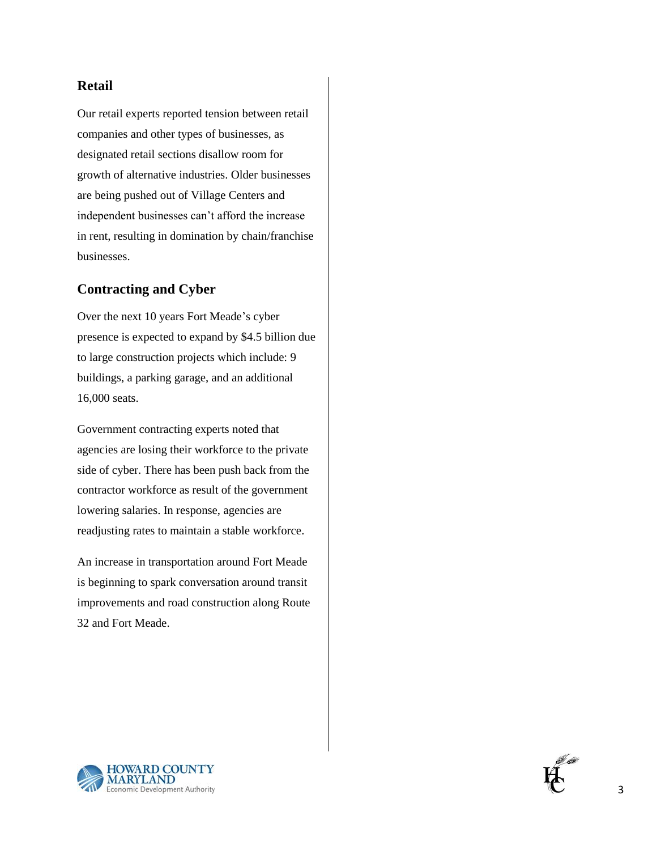### **Retail**

Our retail experts reported tension between retail companies and other types of businesses, as designated retail sections disallow room for growth of alternative industries. Older businesses are being pushed out of Village Centers and independent businesses can't afford the increase in rent, resulting in domination by chain/franchise businesses.

### **Contracting and Cyber**

Over the next 10 years Fort Meade's cyber presence is expected to expand by \$4.5 billion due to large construction projects which include: 9 buildings, a parking garage, and an additional 16,000 seats.

Government contracting experts noted that agencies are losing their workforce to the private side of cyber. There has been push back from the contractor workforce as result of the government lowering salaries. In response, agencies are readjusting rates to maintain a stable workforce.

An increase in transportation around Fort Meade is beginning to spark conversation around transit improvements and road construction along Route 32 and Fort Meade.



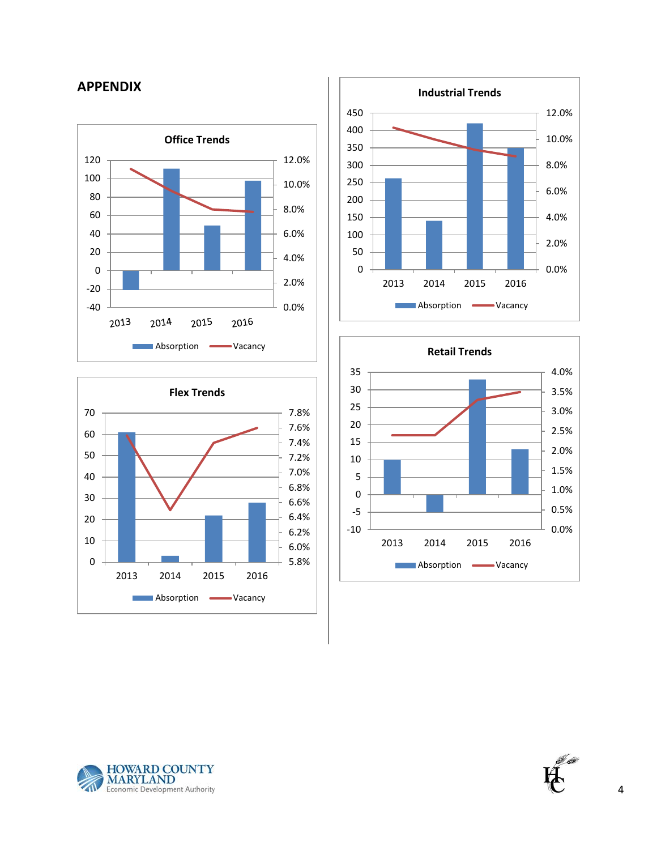## **APPENDIX**











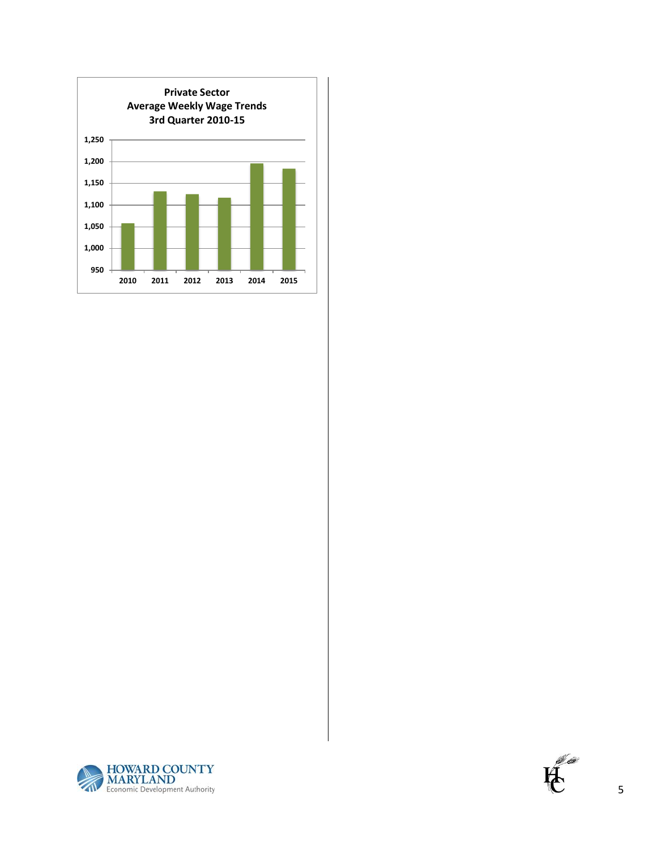



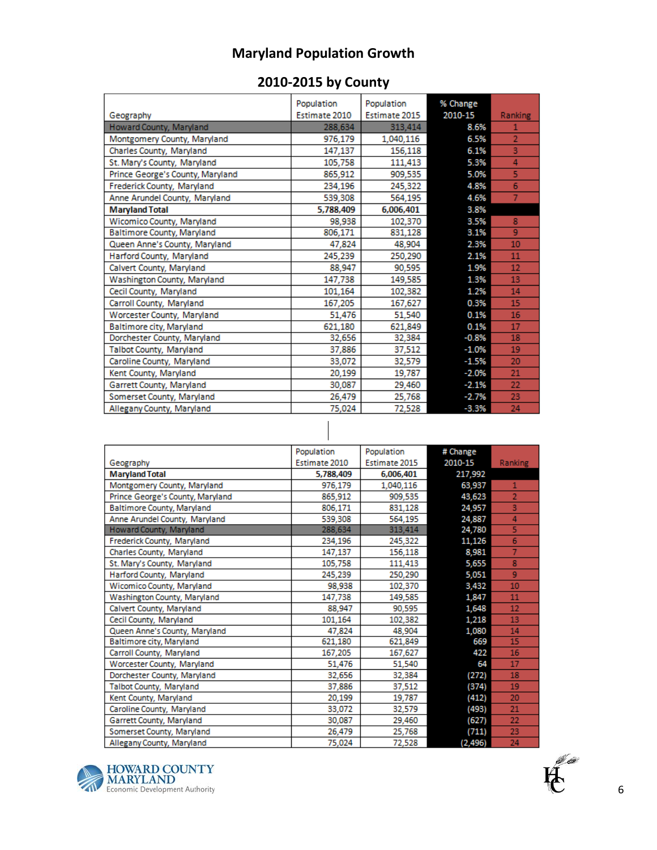# **Maryland Population Growth**

## **2010-2015 by County**

|                                  | Population    | Population    | % Change |                |
|----------------------------------|---------------|---------------|----------|----------------|
| Geography                        | Estimate 2010 | Estimate 2015 | 2010-15  | Ranking        |
| Howard County, Maryland          | 288,634       | 313,414       | 8.6%     | 1              |
| Montgomery County, Maryland      | 976,179       | 1,040,116     | 6.5%     | $\overline{2}$ |
| Charles County, Maryland         | 147,137       | 156,118       | 6.1%     | 3              |
| St. Mary's County, Maryland      | 105,758       | 111,413       | 5.3%     | 4              |
| Prince George's County, Maryland | 865,912       | 909,535       | 5.0%     | 5              |
| Frederick County, Maryland       | 234,196       | 245,322       | 4.8%     | 6              |
| Anne Arundel County, Maryland    | 539,308       | 564,195       | 4.6%     | $\overline{7}$ |
| <b>Maryland Total</b>            | 5,788,409     | 6,006,401     | 3.8%     |                |
| Wicomico County, Maryland        | 98,938        | 102,370       | 3.5%     | 8              |
| Baltimore County, Maryland       | 806,171       | 831,128       | 3.1%     | 9              |
| Queen Anne's County, Maryland    | 47,824        | 48,904        | 2.3%     | 10             |
| Harford County, Maryland         | 245,239       | 250,290       | 2.1%     | 11             |
| Calvert County, Maryland         | 88,947        | 90,595        | 1.9%     | 12             |
| Washington County, Maryland      | 147,738       | 149,585       | 1.3%     | 13             |
| Cecil County, Maryland           | 101,164       | 102,382       | 1.2%     | 14             |
| Carroll County, Maryland         | 167,205       | 167,627       | 0.3%     | 15             |
| Worcester County, Maryland       | 51,476        | 51,540        | 0.1%     | 16             |
| Baltimore city, Maryland         | 621,180       | 621,849       | 0.1%     | 17             |
| Dorchester County, Maryland      | 32,656        | 32,384        | $-0.8%$  | 18             |
| Talbot County, Maryland          | 37,886        | 37,512        | $-1.0%$  | 19             |
| Caroline County, Maryland        | 33,072        | 32,579        | $-1.5%$  | 20             |
| Kent County, Maryland            | 20,199        | 19,787        | $-2.0%$  | 21             |
| Garrett County, Maryland         | 30,087        | 29,460        | $-2.1%$  | 22             |
| Somerset County, Maryland        | 26,479        | 25,768        | $-2.7%$  | 23             |
| Allegany County, Maryland        | 75,024        | 72,528        | $-3.3%$  | 24             |

|                                   | Population    | Population    | # Change |                |
|-----------------------------------|---------------|---------------|----------|----------------|
| Geography                         | Estimate 2010 | Estimate 2015 | 2010-15  | Ranking        |
| <b>Maryland Total</b>             | 5,788,409     | 6,006,401     | 217,992  |                |
| Montgomery County, Maryland       | 976,179       | 1,040,116     | 63,937   | 1              |
| Prince George's County, Maryland  | 865,912       | 909,535       | 43,623   | $\overline{2}$ |
| <b>Baltimore County, Maryland</b> | 806,171       | 831,128       | 24,957   | 3              |
| Anne Arundel County, Maryland     | 539,308       | 564,195       | 24,887   | 4              |
| Howard County, Maryland           | 288,634       | 313,414       | 24,780   | 5              |
| Frederick County, Maryland        | 234,196       | 245,322       | 11,126   | 6              |
| Charles County, Maryland          | 147,137       | 156,118       | 8,981    | 7              |
| St. Mary's County, Maryland       | 105,758       | 111,413       | 5,655    | 8              |
| Harford County, Maryland          | 245,239       | 250,290       | 5,051    | 9              |
| Wicomico County, Maryland         | 98,938        | 102,370       | 3,432    | 10             |
| Washington County, Maryland       | 147,738       | 149,585       | 1,847    | 11             |
| Calvert County, Maryland          | 88.947        | 90,595        | 1,648    | 12             |
| Cecil County, Maryland            | 101,164       | 102,382       | 1,218    | 13             |
| Queen Anne's County, Maryland     | 47.824        | 48,904        | 1,080    | 14             |
| Baltimore city, Maryland          | 621,180       | 621,849       | 669      | 15             |
| Carroll County, Maryland          | 167,205       | 167,627       | 422      | 16             |
| Worcester County, Maryland        | 51,476        | 51,540        | 64       | 17             |
| Dorchester County, Maryland       | 32,656        | 32,384        | (272)    | 18             |
| Talbot County, Maryland           | 37,886        | 37,512        | (374)    | 19             |
| Kent County, Maryland             | 20,199        | 19,787        | (412)    | 20             |
| Caroline County, Maryland         | 33,072        | 32,579        | (493)    | 21             |
| Garrett County, Maryland          | 30,087        | 29,460        | (627)    | 22             |
| Somerset County, Maryland         | 26,479        | 25,768        | (711)    | 23             |
| Allegany County, Maryland         | 75024         | 72.528        | (2.496)  | 24             |